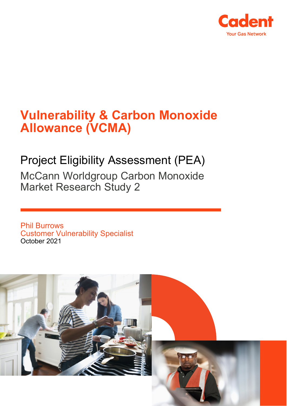

# **Vulnerability & Carbon Monoxide Allowance (VCMA)**

# Project Eligibility Assessment (PEA)

McCann Worldgroup Carbon Monoxide Market Research Study 2

Phil Burrows Customer Vulnerability Specialist October 2021

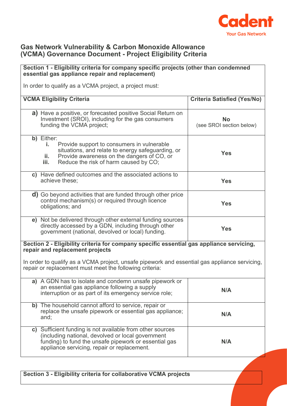

#### **Gas Network Vulnerability & Carbon Monoxide Allowance (VCMA) Governance Document - Project Eligibility Criteria**

# **Section 1 - Eligibility criteria for company specific projects (other than condemned essential gas appliance repair and replacement)** In order to qualify as a VCMA project, a project must: **VCMA Eligibility Criteria Criteria Satisfied (Yes/No) a)** Have a positive, or forecasted positive Social Return on Investment (SROI), including for the gas consumers funding the VCMA project; **No**  (see SROI section below) **b)** Either: **i.** Provide support to consumers in vulnerable situations, and relate to energy safeguarding, or **ii.** Provide awareness on the dangers of CO, or<br>**iii.** Reduce the risk of harm caused by CO. Reduce the risk of harm caused by CO; **Yes c)** Have defined outcomes and the associated actions to achieve these; **Yes d)** Go beyond activities that are funded through other price control mechanism(s) or required through licence obligations; and **Yes e)** Not be delivered through other external funding sources directly accessed by a GDN, including through other government (national, devolved or local) funding. **Yes Section 2 - Eligibility criteria for company specific essential gas appliance servicing, repair and replacement projects** In order to qualify as a VCMA project, unsafe pipework and essential gas appliance servicing, repair or replacement must meet the following criteria: **a)** A GDN has to isolate and condemn unsafe pipework or an essential gas appliance following a supply an essential gas appliance ioliowing a supply<br>interruption or as part of its emergency service role; **b)** The household cannot afford to service, repair or replace the unsafe pipework or essential gas appliance; and; **N/A**

| -                                                                                                                                                                                                                      |     |
|------------------------------------------------------------------------------------------------------------------------------------------------------------------------------------------------------------------------|-----|
| c) Sufficient funding is not available from other sources<br>(including national, devolved or local government<br>funding) to fund the unsafe pipework or essential gas<br>appliance servicing, repair or replacement. | N/A |

**Section 3 - Eligibility criteria for collaborative VCMA projects**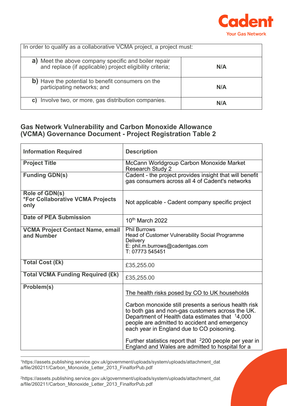

| In order to qualify as a collaborative VCMA project, a project must:                                              |     |
|-------------------------------------------------------------------------------------------------------------------|-----|
| a) Meet the above company specific and boiler repair<br>and replace (if applicable) project eligibility criteria; | N/A |
| b) Have the potential to benefit consumers on the<br>participating networks; and                                  | N/A |
| Involve two, or more, gas distribution companies.<br>C)                                                           | N/A |

### **Gas Network Vulnerability and Carbon Monoxide Allowance (VCMA) Governance Document - Project Registration Table 2**

| <b>Information Required</b>                                | <b>Description</b>                                                                                                                                                                                                                                                                                                                                                                                                                   |
|------------------------------------------------------------|--------------------------------------------------------------------------------------------------------------------------------------------------------------------------------------------------------------------------------------------------------------------------------------------------------------------------------------------------------------------------------------------------------------------------------------|
| <b>Project Title</b>                                       | McCann Worldgroup Carbon Monoxide Market<br><b>Research Study 2</b>                                                                                                                                                                                                                                                                                                                                                                  |
| <b>Funding GDN(s)</b>                                      | Cadent - the project provides insight that will benefit<br>gas consumers across all 4 of Cadent's networks                                                                                                                                                                                                                                                                                                                           |
| Role of GDN(s)<br>*For Collaborative VCMA Projects<br>only | Not applicable - Cadent company specific project                                                                                                                                                                                                                                                                                                                                                                                     |
| <b>Date of PEA Submission</b>                              | 10 <sup>th</sup> March 2022                                                                                                                                                                                                                                                                                                                                                                                                          |
| <b>VCMA Project Contact Name, email</b><br>and Number      | <b>Phil Burrows</b><br>Head of Customer Vulnerability Social Programme<br>Delivery<br>E: phil.m.burrows@cadentgas.com<br>T: 07773 545451                                                                                                                                                                                                                                                                                             |
| <b>Total Cost (£k)</b>                                     | £35,255.00                                                                                                                                                                                                                                                                                                                                                                                                                           |
| <b>Total VCMA Funding Required (£k)</b>                    | £35,255.00                                                                                                                                                                                                                                                                                                                                                                                                                           |
| Problem(s)                                                 | The health risks posed by CO to UK households<br>Carbon monoxide still presents a serious health risk<br>to both gas and non-gas customers across the UK.<br>Department of Health data estimates that 14,000<br>people are admitted to accident and emergency<br>each year in England due to CO poisoning.<br>Further statistics report that <sup>2</sup> 200 people per year in<br>England and Wales are admitted to hospital for a |

<span id="page-2-0"></span><sup>1</sup>https://assets.publishing.service.gov.uk/government/uploads/system/uploads/attachment\_dat a/file/260211/Carbon\_Monoxide\_Letter\_2013\_FinalforPub.pdf

<span id="page-2-1"></span><sup>2</sup>https://assets.publishing.service.gov.uk/government/uploads/system/uploads/attachment\_dat a/file/260211/Carbon\_Monoxide\_Letter\_2013\_FinalforPub.pdf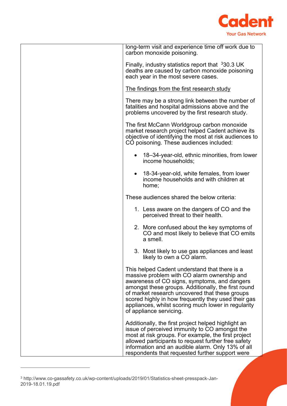

| long-term visit and experience time off work due to<br>carbon monoxide poisoning.                                                                                                                                                                                                                                                                                                              |
|------------------------------------------------------------------------------------------------------------------------------------------------------------------------------------------------------------------------------------------------------------------------------------------------------------------------------------------------------------------------------------------------|
| Finally, industry statistics report that $330.3 \, \text{UK}$<br>deaths are caused by carbon monoxide poisoning<br>each year in the most severe cases.                                                                                                                                                                                                                                         |
| The findings from the first research study                                                                                                                                                                                                                                                                                                                                                     |
| There may be a strong link between the number of<br>fatalities and hospital admissions above and the<br>problems uncovered by the first research study.                                                                                                                                                                                                                                        |
| The first McCann Worldgroup carbon monoxide<br>market research project helped Cadent achieve its<br>objective of identifying the most at risk audiences to<br>CO poisoning. These audiences included:                                                                                                                                                                                          |
| 18–34-year-old, ethnic minorities, from lower<br>income households;                                                                                                                                                                                                                                                                                                                            |
| 18-34-year-old, white females, from lower<br>$\bullet$<br>income households and with children at<br>home;                                                                                                                                                                                                                                                                                      |
| These audiences shared the below criteria:                                                                                                                                                                                                                                                                                                                                                     |
| 1. Less aware on the dangers of CO and the<br>perceived threat to their health.                                                                                                                                                                                                                                                                                                                |
| 2. More confused about the key symptoms of<br>CO and most likely to believe that CO emits<br>a smell.                                                                                                                                                                                                                                                                                          |
| 3. Most likely to use gas appliances and least<br>likely to own a CO alarm.                                                                                                                                                                                                                                                                                                                    |
| This helped Cadent understand that there is a<br>massive problem with CO alarm ownership and<br>awareness of CO signs, symptoms, and dangers<br>amongst these groups. Additionally, the first round<br>of market research uncovered that these groups<br>scored highly in how frequently they used their gas<br>appliances, whilst scoring much lower in regularity<br>of appliance servicing. |
| Additionally, the first project helped highlight an<br>issue of perceived immunity to CO amongst the<br>most at risk groups. For example, the first project<br>allowed participants to request further free safety<br>information and an audible alarm. Only 13% of all<br>respondents that requested further support were                                                                     |

<span id="page-3-0"></span><sup>3</sup> http://www.co-gassafety.co.uk/wp-content/uploads/2019/01/Statistics-sheet-presspack-Jan-2019-18.01.19.pdf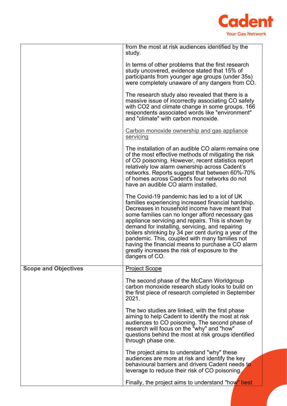

|                             | from the most at risk audiences identified by the<br>study.                                                                                                                                                                                                                                                                                                                                                                                                                                                                                         |
|-----------------------------|-----------------------------------------------------------------------------------------------------------------------------------------------------------------------------------------------------------------------------------------------------------------------------------------------------------------------------------------------------------------------------------------------------------------------------------------------------------------------------------------------------------------------------------------------------|
|                             | In terms of other problems that the first research<br>study uncovered, evidence stated that 15% of                                                                                                                                                                                                                                                                                                                                                                                                                                                  |
|                             | participants from younger age groups (under 35s)<br>were completely unaware of any dangers from CO.                                                                                                                                                                                                                                                                                                                                                                                                                                                 |
|                             | The research study also revealed that there is a<br>massive issue of incorrectly associating CO safety<br>with CO2 and climate change in some groups. 166<br>respondents associated words like "environment"<br>and "climate" with carbon monoxide.                                                                                                                                                                                                                                                                                                 |
|                             | Carbon monoxide ownership and gas appliance<br>servicing                                                                                                                                                                                                                                                                                                                                                                                                                                                                                            |
|                             | The installation of an audible CO alarm remains one<br>of the most effective methods of mitigating the risk<br>of CO poisoning. However, recent statistics report<br>relatively low alarm ownership across Cadent's<br>networks. Reports suggest that between 60%-70%<br>of homes across Cadent's four networks do not<br>have an audible CO alarm installed.                                                                                                                                                                                       |
|                             | The Covid-19 pandemic has led to a lot of UK<br>families experiencing increased financial hardship.<br>Decreases in household income have meant that<br>some families can no longer afford necessary gas<br>appliance servicing and repairs. This is shown by<br>demand for installing, servicing, and repairing<br>boilers shrinking by 34 per cent during a year of the<br>pandemic. This, coupled with many families not<br>having the financial means to purchase a CO alarm<br>greatly increases the risk of exposure to the<br>dangers of CO. |
| <b>Scope and Objectives</b> | <b>Project Scope</b>                                                                                                                                                                                                                                                                                                                                                                                                                                                                                                                                |
|                             | The second phase of the McCann Worldgroup<br>carbon monoxide research study looks to build on<br>the first piece of research completed in September<br>2021.                                                                                                                                                                                                                                                                                                                                                                                        |
|                             | The two studies are linked, with the first phase<br>aiming to help Cadent to identify the most at risk<br>audiences to CO poisoning. The second phase of<br>research will focus on the "why" and "how"<br>questions behind the most at risk groups identified<br>through phase one.                                                                                                                                                                                                                                                                 |
|                             | The project aims to understand "why" these                                                                                                                                                                                                                                                                                                                                                                                                                                                                                                          |
|                             | audiences are more at risk and identify the key<br>behavioural barriers and drivers Cadent needs to<br>leverage to reduce their risk of CO poisoning.                                                                                                                                                                                                                                                                                                                                                                                               |
|                             | Finally, the project aims to understand "how" best                                                                                                                                                                                                                                                                                                                                                                                                                                                                                                  |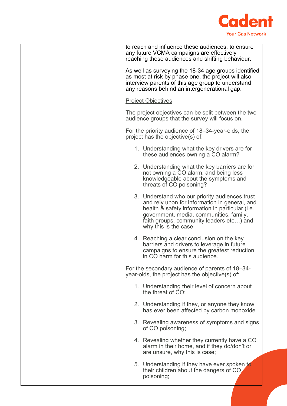

| to reach and influence these audiences, to ensure<br>any future VCMA campaigns are effectively<br>reaching these audiences and shifting behaviour.                                                                                                                 |
|--------------------------------------------------------------------------------------------------------------------------------------------------------------------------------------------------------------------------------------------------------------------|
| As well as surveying the 18-34 age groups identified<br>as most at risk by phase one, the project will also<br>interview parents of this age group to understand<br>any reasons behind an intergenerational gap.                                                   |
| <b>Project Objectives</b>                                                                                                                                                                                                                                          |
| The project objectives can be split between the two<br>audience groups that the survey will focus on.                                                                                                                                                              |
| For the priority audience of 18–34-year-olds, the<br>project has the objective(s) of:                                                                                                                                                                              |
| 1. Understanding what the key drivers are for<br>these audiences owning a CO alarm?                                                                                                                                                                                |
| 2. Understanding what the key barriers are for<br>not owning a CO alarm, and being less<br>knowledgeable about the symptoms and<br>threats of CO poisoning?                                                                                                        |
| 3. Understand who our priority audiences trust<br>and rely upon for information in general, and<br>health & safety information in particular (i.e.<br>government, media, communities, family,<br>faith groups, community leaders etc) and<br>why this is the case. |
| 4. Reaching a clear conclusion on the key<br>barriers and drivers to leverage in future<br>campaigns to ensure the greatest reduction<br>in CO harm for this audience.                                                                                             |
| For the secondary audience of parents of 18–34-<br>year-olds, the project has the objective(s) of:                                                                                                                                                                 |
| 1. Understanding their level of concern about<br>the threat of CO;                                                                                                                                                                                                 |
| 2. Understanding if they, or anyone they know<br>has ever been affected by carbon monoxide                                                                                                                                                                         |
| 3. Revealing awareness of symptoms and signs<br>of CO poisoning;                                                                                                                                                                                                   |
| 4. Revealing whether they currently have a CO<br>alarm in their home, and if they do/don't or<br>are unsure, why this is case;                                                                                                                                     |
| 5. Understanding if they have ever spoken to<br>their children about the dangers of CO<br>poisoning;                                                                                                                                                               |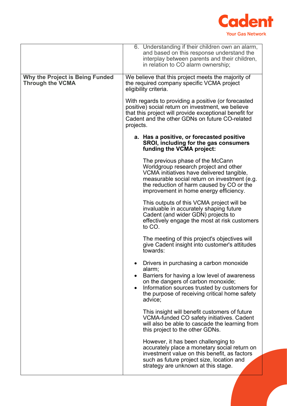

|                                                                   | 6. Understanding if their children own an alarm,<br>and based on this response understand the<br>interplay between parents and their children,<br>in relation to CO alarm ownership;                                                                          |
|-------------------------------------------------------------------|---------------------------------------------------------------------------------------------------------------------------------------------------------------------------------------------------------------------------------------------------------------|
| <b>Why the Project is Being Funded</b><br><b>Through the VCMA</b> | We believe that this project meets the majority of<br>the required company specific VCMA project<br>eligibility criteria.                                                                                                                                     |
|                                                                   | With regards to providing a positive (or forecasted<br>positive) social return on investment, we believe<br>that this project will provide exceptional benefit for<br>Cadent and the other GDNs on future CO-related<br>projects.                             |
|                                                                   | a. Has a positive, or forecasted positive<br>SROI, including for the gas consumers<br>funding the VCMA project:                                                                                                                                               |
|                                                                   | The previous phase of the McCann<br>Worldgroup research project and other<br>VCMA initiatives have delivered tangible,<br>measurable social return on investment (e.g.<br>the reduction of harm caused by CO or the<br>improvement in home energy efficiency. |
|                                                                   | This outputs of this VCMA project will be<br>invaluable in accurately shaping future<br>Cadent (and wider GDN) projects to<br>effectively engage the most at risk customers<br>to CO.                                                                         |
|                                                                   | The meeting of this project's objectives will<br>give Cadent insight into customer's attitudes<br>towards:                                                                                                                                                    |
|                                                                   | Drivers in purchasing a carbon monoxide<br>alarm;<br>Barriers for having a low level of awareness<br>on the dangers of carbon monoxide;<br>Information sources trusted by customers for<br>the purpose of receiving critical home safety<br>advice;           |
|                                                                   | This insight will benefit customers of future<br>VCMA-funded CO safety initiatives. Cadent<br>will also be able to cascade the learning from<br>this project to the other GDNs.                                                                               |
|                                                                   | However, it has been challenging to<br>accurately place a monetary social return on<br>investment value on this benefit, as factors<br>such as future project size, location and<br>strategy are unknown at this stage.                                       |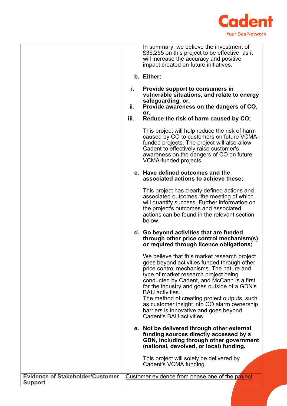

|                                                           |           | In summary, we believe the investment of<br>£35,255 on this project to be effective, as it<br>will increase the accuracy and positive<br>impact created on future initiatives.                                                                                                                                                                                                                                                                                                |
|-----------------------------------------------------------|-----------|-------------------------------------------------------------------------------------------------------------------------------------------------------------------------------------------------------------------------------------------------------------------------------------------------------------------------------------------------------------------------------------------------------------------------------------------------------------------------------|
|                                                           |           | b. Either:                                                                                                                                                                                                                                                                                                                                                                                                                                                                    |
|                                                           | i.<br>ii. | Provide support to consumers in<br>vulnerable situations, and relate to energy<br>safeguarding, or,                                                                                                                                                                                                                                                                                                                                                                           |
|                                                           |           | Provide awareness on the dangers of CO,<br>or,                                                                                                                                                                                                                                                                                                                                                                                                                                |
|                                                           | iii.      | Reduce the risk of harm caused by CO;                                                                                                                                                                                                                                                                                                                                                                                                                                         |
|                                                           |           | This project will help reduce the risk of harm<br>caused by CO to customers on future VCMA-<br>funded projects. The project will also allow<br>Cadent to effectively raise customer's<br>awareness on the dangers of CO on future<br>VCMA-funded projects.                                                                                                                                                                                                                    |
|                                                           |           | c. Have defined outcomes and the<br>associated actions to achieve these;                                                                                                                                                                                                                                                                                                                                                                                                      |
|                                                           |           | This project has clearly defined actions and<br>associated outcomes, the meeting of which<br>will quantify success. Further information on<br>the project's outcomes and associated<br>actions can be found in the relevant section<br>below.                                                                                                                                                                                                                                 |
|                                                           |           | d. Go beyond activities that are funded<br>through other price control mechanism(s)<br>or required through licence obligations;                                                                                                                                                                                                                                                                                                                                               |
|                                                           |           | We believe that this market research project<br>goes beyond activities funded through other<br>price control mechanisms. The nature and<br>type of market research project being<br>conducted by Cadent, and McCann is a first<br>for the industry and goes outside of a GDN's<br><b>BAU</b> activities.<br>The method of creating project outputs, such<br>as customer insight into CO alarm ownership<br>barriers is innovative and goes beyond<br>Cadent's BAU activities. |
|                                                           |           | e. Not be delivered through other external<br>funding sources directly accessed by a<br>GDN, including through other government<br>(national, devolved, or local) funding.                                                                                                                                                                                                                                                                                                    |
|                                                           |           | This project will solely be delivered by<br>Cadent's VCMA funding.                                                                                                                                                                                                                                                                                                                                                                                                            |
| <b>Evidence of Stakeholder/Customer</b><br><b>Support</b> |           | Customer evidence from phase one of the project                                                                                                                                                                                                                                                                                                                                                                                                                               |
|                                                           |           |                                                                                                                                                                                                                                                                                                                                                                                                                                                                               |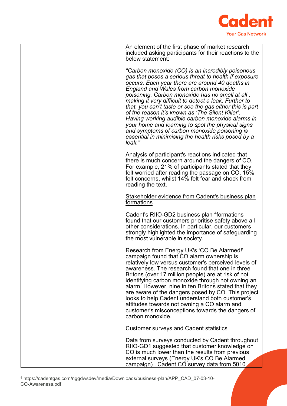

<span id="page-8-0"></span>

| included asking participants for their reactions to the<br>below statement:<br>"Carbon monoxide (CO) is an incredibly poisonous<br>gas that poses a serious threat to health if exposure<br>occurs. Each year there are around 40 deaths in<br><b>England and Wales from carbon monoxide</b><br>poisoning. Carbon monoxide has no smell at all,<br>making it very difficult to detect a leak. Further to<br>that, you can't taste or see the gas either this is part<br>of the reason it's known as 'The Silent Killer'.<br>Having working audible carbon monoxide alarms in<br>your home and learning to spot the physical signs<br>and symptoms of carbon monoxide poisoning is<br>essential in minimising the health risks posed by a<br>leak."<br>Analysis of participant's reactions indicated that<br>there is much concern around the dangers of CO.<br>For example, 21% of participants stated that they<br>felt worried after reading the passage on CO. 15%<br>felt concerns, whilst 14% felt fear and shock from<br>reading the text.<br>Stakeholder evidence from Cadent's business plan<br>formations<br>Cadent's RIIO-GD2 business plan <sup>4</sup> formations<br>found that our customers prioritise safety above all<br>other considerations. In particular, our customers<br>strongly highlighted the importance of safeguarding<br>the most vulnerable in society.<br>Research from Energy UK's 'CO Be Alarmed!'<br>campaign found that CO alarm ownership is<br>relatively low versus customer's perceived levels of<br>awareness. The research found that one in three<br>Britons (over 17 million people) are at risk of not<br>identifying carbon monoxide through not owning an<br>alarm. However, nine in ten Britons stated that they<br>are aware of the dangers posed by CO. This project<br>looks to help Cadent understand both customer's<br>attitudes towards not owning a CO alarm and<br>customer's misconceptions towards the dangers of<br>carbon monoxide.<br><b>Customer surveys and Cadent statistics</b><br>Data from surveys conducted by Cadent throughout<br>RIIO-GD1 suggested that customer knowledge on<br>CO is much lower than the results from previous<br>external surveys (Energy UK's CO Be Alarmed |                                                  |
|---------------------------------------------------------------------------------------------------------------------------------------------------------------------------------------------------------------------------------------------------------------------------------------------------------------------------------------------------------------------------------------------------------------------------------------------------------------------------------------------------------------------------------------------------------------------------------------------------------------------------------------------------------------------------------------------------------------------------------------------------------------------------------------------------------------------------------------------------------------------------------------------------------------------------------------------------------------------------------------------------------------------------------------------------------------------------------------------------------------------------------------------------------------------------------------------------------------------------------------------------------------------------------------------------------------------------------------------------------------------------------------------------------------------------------------------------------------------------------------------------------------------------------------------------------------------------------------------------------------------------------------------------------------------------------------------------------------------------------------------------------------------------------------------------------------------------------------------------------------------------------------------------------------------------------------------------------------------------------------------------------------------------------------------------------------------------------------------------------------------------------------------------------------------------------------------------------------------------------------------------------|--------------------------------------------------|
|                                                                                                                                                                                                                                                                                                                                                                                                                                                                                                                                                                                                                                                                                                                                                                                                                                                                                                                                                                                                                                                                                                                                                                                                                                                                                                                                                                                                                                                                                                                                                                                                                                                                                                                                                                                                                                                                                                                                                                                                                                                                                                                                                                                                                                                         | An element of the first phase of market research |
|                                                                                                                                                                                                                                                                                                                                                                                                                                                                                                                                                                                                                                                                                                                                                                                                                                                                                                                                                                                                                                                                                                                                                                                                                                                                                                                                                                                                                                                                                                                                                                                                                                                                                                                                                                                                                                                                                                                                                                                                                                                                                                                                                                                                                                                         |                                                  |
|                                                                                                                                                                                                                                                                                                                                                                                                                                                                                                                                                                                                                                                                                                                                                                                                                                                                                                                                                                                                                                                                                                                                                                                                                                                                                                                                                                                                                                                                                                                                                                                                                                                                                                                                                                                                                                                                                                                                                                                                                                                                                                                                                                                                                                                         |                                                  |
|                                                                                                                                                                                                                                                                                                                                                                                                                                                                                                                                                                                                                                                                                                                                                                                                                                                                                                                                                                                                                                                                                                                                                                                                                                                                                                                                                                                                                                                                                                                                                                                                                                                                                                                                                                                                                                                                                                                                                                                                                                                                                                                                                                                                                                                         |                                                  |
|                                                                                                                                                                                                                                                                                                                                                                                                                                                                                                                                                                                                                                                                                                                                                                                                                                                                                                                                                                                                                                                                                                                                                                                                                                                                                                                                                                                                                                                                                                                                                                                                                                                                                                                                                                                                                                                                                                                                                                                                                                                                                                                                                                                                                                                         |                                                  |
|                                                                                                                                                                                                                                                                                                                                                                                                                                                                                                                                                                                                                                                                                                                                                                                                                                                                                                                                                                                                                                                                                                                                                                                                                                                                                                                                                                                                                                                                                                                                                                                                                                                                                                                                                                                                                                                                                                                                                                                                                                                                                                                                                                                                                                                         |                                                  |
|                                                                                                                                                                                                                                                                                                                                                                                                                                                                                                                                                                                                                                                                                                                                                                                                                                                                                                                                                                                                                                                                                                                                                                                                                                                                                                                                                                                                                                                                                                                                                                                                                                                                                                                                                                                                                                                                                                                                                                                                                                                                                                                                                                                                                                                         |                                                  |
| campaign). Cadent CO survey data from 5010                                                                                                                                                                                                                                                                                                                                                                                                                                                                                                                                                                                                                                                                                                                                                                                                                                                                                                                                                                                                                                                                                                                                                                                                                                                                                                                                                                                                                                                                                                                                                                                                                                                                                                                                                                                                                                                                                                                                                                                                                                                                                                                                                                                                              |                                                  |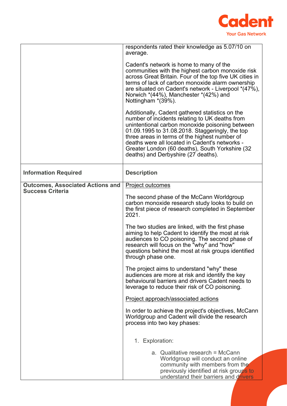

|                                                                    | respondents rated their knowledge as 5.07/10 on<br>average.                                                                                                                                                                                                                                                                                                                                          |
|--------------------------------------------------------------------|------------------------------------------------------------------------------------------------------------------------------------------------------------------------------------------------------------------------------------------------------------------------------------------------------------------------------------------------------------------------------------------------------|
|                                                                    | Cadent's network is home to many of the<br>communities with the highest carbon monoxide risk<br>across Great Britain. Four of the top five UK cities in<br>terms of lack of carbon monoxide alarm ownership<br>are situated on Cadent's network - Liverpool *(47%),<br>Norwich $*(44\%)$ , Manchester $*(42\%)$ and<br>Nottingham *(39%).                                                            |
|                                                                    | Additionally, Cadent gathered statistics on the<br>number of incidents relating to UK deaths from<br>unintentional carbon monoxide poisoning between<br>01.09.1995 to 31.08.2018. Staggeringly, the top<br>three areas in terms of the highest number of<br>deaths were all located in Cadent's networks -<br>Greater London (60 deaths), South Yorkshire (32<br>deaths) and Derbyshire (27 deaths). |
| <b>Information Required</b>                                        | <b>Description</b>                                                                                                                                                                                                                                                                                                                                                                                   |
| <b>Outcomes, Associated Actions and</b><br><b>Success Criteria</b> | <b>Project outcomes</b>                                                                                                                                                                                                                                                                                                                                                                              |
|                                                                    | The second phase of the McCann Worldgroup<br>carbon monoxide research study looks to build on<br>the first piece of research completed in September<br>2021.                                                                                                                                                                                                                                         |
|                                                                    | The two studies are linked, with the first phase<br>aiming to help Cadent to identify the most at risk<br>audiences to CO poisoning. The second phase of<br>research will focus on the "why" and "how"<br>questions behind the most at risk groups identified<br>through phase one.                                                                                                                  |
|                                                                    | The project aims to understand "why" these<br>audiences are more at risk and identify the key<br>behavioural barriers and drivers Cadent needs to<br>leverage to reduce their risk of CO poisoning.                                                                                                                                                                                                  |
|                                                                    | Project approach/associated actions                                                                                                                                                                                                                                                                                                                                                                  |
|                                                                    | In order to achieve the project's objectives, McCann<br>Worldgroup and Cadent will divide the research<br>process into two key phases:                                                                                                                                                                                                                                                               |
|                                                                    | 1. Exploration:                                                                                                                                                                                                                                                                                                                                                                                      |
|                                                                    | a. Qualitative research = McCann<br>Worldgroup will conduct an online<br>community with members from the<br>previously identified at risk groups to<br>understand their barriers and drivers                                                                                                                                                                                                         |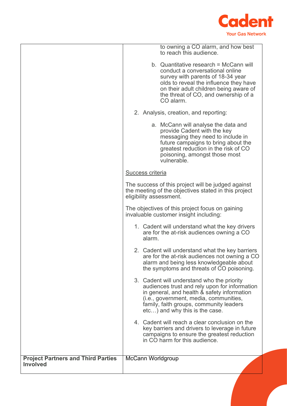

|                                                              | to owning a CO alarm, and how best<br>to reach this audience.                                                                                                                                                                                                     |
|--------------------------------------------------------------|-------------------------------------------------------------------------------------------------------------------------------------------------------------------------------------------------------------------------------------------------------------------|
|                                                              | b. Quantitative research = McCann will<br>conduct a conversational online<br>survey with parents of 18-34 year<br>olds to reveal the influence they have<br>on their adult children being aware of<br>the threat of CO, and ownership of a<br>CO alarm.           |
|                                                              | 2. Analysis, creation, and reporting:                                                                                                                                                                                                                             |
|                                                              | a. McCann will analyse the data and<br>provide Cadent with the key<br>messaging they need to include in<br>future campaigns to bring about the<br>greatest reduction in the risk of CO<br>poisoning, amongst those most<br>vulnerable.                            |
|                                                              | Success criteria                                                                                                                                                                                                                                                  |
|                                                              | The success of this project will be judged against<br>the meeting of the objectives stated in this project<br>eligibility assessment.                                                                                                                             |
|                                                              | The objectives of this project focus on gaining<br>invaluable customer insight including:                                                                                                                                                                         |
|                                                              | 1. Cadent will understand what the key drivers<br>are for the at-risk audiences owning a CO<br>alarm.                                                                                                                                                             |
|                                                              | 2. Cadent will understand what the key barriers<br>are for the at-risk audiences not owning a CO<br>alarm and being less knowledgeable about<br>the symptoms and threats of CO poisoning.                                                                         |
|                                                              | 3. Cadent will understand who the priority<br>audiences trust and rely upon for information<br>in general, and health & safety information<br>(i.e., government, media, communities,<br>family, faith groups, community leaders<br>etc) and why this is the case. |
|                                                              | 4. Cadent will reach a clear conclusion on the<br>key barriers and drivers to leverage in future<br>campaigns to ensure the greatest reduction<br>in CO harm for this audience.                                                                                   |
| <b>Project Partners and Third Parties</b><br><b>Involved</b> | McCann Worldgroup                                                                                                                                                                                                                                                 |
|                                                              |                                                                                                                                                                                                                                                                   |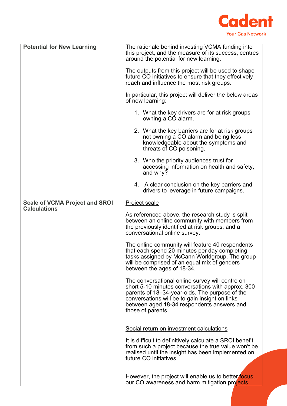

| <b>Potential for New Learning</b>     | The rationale behind investing VCMA funding into<br>this project, and the measure of its success, centres<br>around the potential for new learning.                                                                                                                         |
|---------------------------------------|-----------------------------------------------------------------------------------------------------------------------------------------------------------------------------------------------------------------------------------------------------------------------------|
|                                       | The outputs from this project will be used to shape<br>future CO initiatives to ensure that they effectively<br>reach and influence the most risk groups.                                                                                                                   |
|                                       | In particular, this project will deliver the below areas<br>of new learning:                                                                                                                                                                                                |
|                                       | 1. What the key drivers are for at risk groups<br>owning a CO alarm.                                                                                                                                                                                                        |
|                                       | 2. What the key barriers are for at risk groups<br>not owning a CO alarm and being less<br>knowledgeable about the symptoms and<br>threats of CO poisoning.                                                                                                                 |
|                                       | 3. Who the priority audiences trust for<br>accessing information on health and safety,<br>and why?                                                                                                                                                                          |
|                                       | 4. A clear conclusion on the key barriers and<br>drivers to leverage in future campaigns.                                                                                                                                                                                   |
| <b>Scale of VCMA Project and SROI</b> | <b>Project scale</b>                                                                                                                                                                                                                                                        |
| <b>Calculations</b>                   |                                                                                                                                                                                                                                                                             |
|                                       | As referenced above, the research study is split<br>between an online community with members from<br>the previously identified at risk groups, and a<br>conversational online survey.                                                                                       |
|                                       | The online community will feature 40 respondents<br>that each spend 20 minutes per day completing<br>tasks assigned by McCann Worldgroup. The group<br>will be comprised of an equal mix of genders<br>between the ages of 18-34.                                           |
|                                       | The conversational online survey will centre on<br>short 5-10 minutes conversations with approx. 300<br>parents of 18-34-year-olds. The purpose of the<br>conversations will be to gain insight on links<br>between aged 18-34 respondents answers and<br>those of parents. |
|                                       | Social return on investment calculations                                                                                                                                                                                                                                    |
|                                       | It is difficult to definitively calculate a SROI benefit<br>from such a project because the true value won't be<br>realised until the insight has been implemented on<br>future CO initiatives.                                                                             |
|                                       |                                                                                                                                                                                                                                                                             |
|                                       | However, the project will enable us to better focus<br>our CO awareness and harm mitigation projects                                                                                                                                                                        |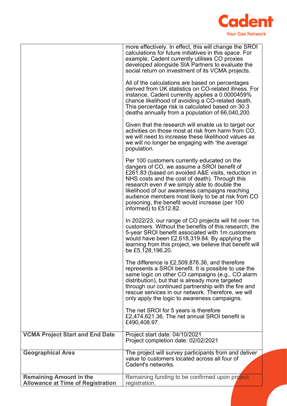

|                                                                            | more effectively. In effect, this will change the SROI                                                         |
|----------------------------------------------------------------------------|----------------------------------------------------------------------------------------------------------------|
|                                                                            | calculations for future initiatives in this space. For<br>example, Cadent currently utilises CO proxies        |
|                                                                            | developed alongside SIA Partners to evaluate the<br>social return on investment of its VCMA projects.          |
|                                                                            | All of the calculations are based on percentages                                                               |
|                                                                            | derived from UK statistics on CO-related illness. For<br>instance, Cadent currently applies a 0.0000459%       |
|                                                                            | chance likelihood of avoiding a CO-related death.<br>This percentage risk is calculated based on 30.3          |
|                                                                            | deaths annually from a population of 66,040,200.                                                               |
|                                                                            | Given that the research will enable us to target our<br>activities on those most at risk from harm from CO,    |
|                                                                            | we will need to increase these likelihood values as<br>we will no longer be engaging with 'the average'        |
|                                                                            | population.                                                                                                    |
|                                                                            | Per 100 customers currently educated on the<br>dangers of CO, we assume a SROI benefit of                      |
|                                                                            | £261.83 (based on avoided A&E visits, reduction in<br>NHS costs and the cost of death). Through this           |
|                                                                            | research even if we simply able to double the<br>likelihood of our awareness campaigns reaching                |
|                                                                            | audience members most likely to be at risk from CO<br>poisoning, the benefit would increase (per 100           |
|                                                                            | informed) to £512.82.                                                                                          |
|                                                                            | In 2022/23, our range of CO projects will hit over 1m<br>customers. Without the benefits of this research, the |
|                                                                            | 5-year SROI benefit associated with 1m customers<br>would have been £2,618,319.84. By applying the             |
|                                                                            | learning from this project, we believe that benefit will<br>be £5,128,196.20.                                  |
|                                                                            | The difference is £2,509,876.36, and therefore                                                                 |
|                                                                            | represents a SROI benefit. It is possible to use the<br>same logic on other CO campaigns (e.g., CO alarm       |
|                                                                            | distribution), but that is already more targeted<br>through our continued partnership with the fire and        |
|                                                                            | rescue services in our network. Therefore, we will<br>only apply the logic to awareness campaigns.             |
|                                                                            | The net SROI for 5 years is therefore                                                                          |
|                                                                            | £2,474,621.36. The net annual SROI benefit is<br>£490,408.97.                                                  |
| <b>VCMA Project Start and End Date</b>                                     | Project start date: 04/10/2021                                                                                 |
|                                                                            | Project completion date: 02/02/2021                                                                            |
| <b>Geographical Area</b>                                                   | The project will survey participants from and deliver<br>value to customers located across all four of         |
|                                                                            | Cadent's networks.                                                                                             |
| <b>Remaining Amount in the</b><br><b>Allowance at Time of Registration</b> | Remaining funding to be confirmed upon project<br>registration.                                                |
|                                                                            |                                                                                                                |